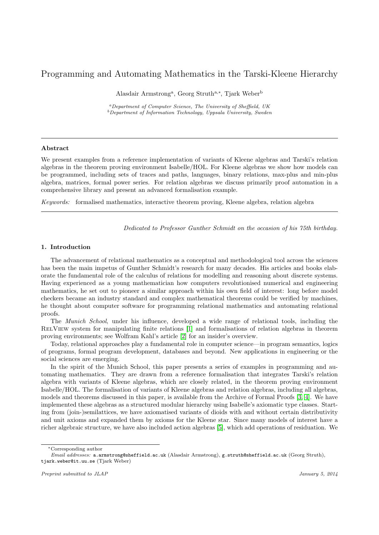# Programming and Automating Mathematics in the Tarski-Kleene Hierarchy

Alasdair Armstrong<sup>a</sup>, Georg Struth<sup>a,∗</sup>, Tjark Weber<sup>b</sup>

 ${}^a$ Department of Computer Science, The University of Sheffield, UK  $b$ Department of Information Technology, Uppsala University, Sweden

### Abstract

We present examples from a reference implementation of variants of Kleene algebras and Tarski's relation algebras in the theorem proving environment Isabelle/HOL. For Kleene algebras we show how models can be programmed, including sets of traces and paths, languages, binary relations, max-plus and min-plus algebra, matrices, formal power series. For relation algebras we discuss primarily proof automation in a comprehensive library and present an advanced formalisation example.

Keywords: formalised mathematics, interactive theorem proving, Kleene algebra, relation algebra

Dedicated to Professor Gunther Schmidt on the occasion of his 75th birthday.

# 1. Introduction

The advancement of relational mathematics as a conceptual and methodological tool across the sciences has been the main impetus of Gunther Schmidt's research for many decades. His articles and books elaborate the fundamental role of the calculus of relations for modelling and reasoning about discrete systems. Having experienced as a young mathematician how computers revolutionised numerical and engineering mathematics, he set out to pioneer a similar approach within his own field of interest: long before model checkers became an industry standard and complex mathematical theorems could be verified by machines, he thought about computer software for programming relational mathematics and automating relational proofs.

The Munich School, under his influence, developed a wide range of relational tools, including the RelView system for manipulating finite relations [\[1\]](#page-19-0) and formalisations of relation algebras in theorem proving environments; see Wolfram Kahl's article [\[2\]](#page-19-1) for an insider's overview.

Today, relational approaches play a fundamental role in computer science—in program semantics, logics of programs, formal program development, databases and beyond. New applications in engineering or the social sciences are emerging.

In the spirit of the Munich School, this paper presents a series of examples in programming and automating mathematics. They are drawn from a reference formalisation that integrates Tarski's relation algebra with variants of Kleene algebras, which are closely related, in the theorem proving environment Isabelle/HOL. The formalisation of variants of Kleene algebras and relation algebras, including all algebras, models and theorems discussed in this paper, is available from the Archive of Formal Proofs [\[3,](#page-19-2) [4\]](#page-19-3). We have implemented these algebras as a structured modular hierarchy using Isabelle's axiomatic type classes. Starting from (join-)semilattices, we have axiomatised variants of dioids with and without certain distributivity and unit axioms and expanded them by axioms for the Kleene star. Since many models of interest have a richer algebraic structure, we have also included action algebras [\[5\]](#page-19-4), which add operations of residuation. We

<sup>∗</sup>Corresponding author

Email addresses: a.armstrong@sheffield.ac.uk (Alasdair Armstrong), g.struth@sheffield.ac.uk (Georg Struth), tjark.weber@it.uu.se (Tjark Weber)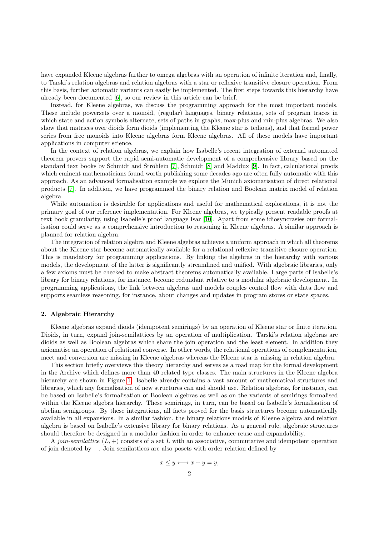have expanded Kleene algebras further to omega algebras with an operation of infinite iteration and, finally, to Tarski's relation algebras and relation algebras with a star or reflexive transitive closure operation. From this basis, further axiomatic variants can easily be implemented. The first steps towards this hierarchy have already been documented [\[6\]](#page-19-5), so our review in this article can be brief.

Instead, for Kleene algebras, we discuss the programming approach for the most important models. These include powersets over a monoid, (regular) languages, binary relations, sets of program traces in which state and action symbols alternate, sets of paths in graphs, max-plus and min-plus algebras. We also show that matrices over dioids form dioids (implementing the Kleene star is tedious), and that formal power series from free monoids into Kleene algebras form Kleene algebras. All of these models have important applications in computer science.

In the context of relation algebras, we explain how Isabelle's recent integration of external automated theorem provers support the rapid semi-automatic development of a comprehensive library based on the standard text books by Schmidt and Ströhlein [\[7\]](#page-19-6), Schmidt [\[8\]](#page-19-7) and Maddux [\[9\]](#page-19-8). In fact, calculational proofs which eminent mathematicians found worth publishing some decades ago are often fully automatic with this approach. As an advanced formalisation example we explore the Munich axiomatisation of direct relational products [\[7\]](#page-19-6). In addition, we have programmed the binary relation and Boolean matrix model of relation algebra.

While automation is desirable for applications and useful for mathematical explorations, it is not the primary goal of our reference implementation. For Kleene algebras, we typically present readable proofs at text book granularity, using Isabelle's proof language Isar [\[10\]](#page-19-9). Apart from some idiosyncrasies our formalisation could serve as a comprehensive introduction to reasoning in Kleene algebras. A similar approach is planned for relation algebra.

The integration of relation algebra and Kleene algebras achieves a uniform approach in which all theorems about the Kleene star become automatically available for a relational reflexive transitive closure operation. This is mandatory for programming applications. By linking the algebras in the hierarchy with various models, the development of the latter is significantly streamlined and unified. With algebraic libraries, only a few axioms must be checked to make abstract theorems automatically available. Large parts of Isabelle's library for binary relations, for instance, become redundant relative to a modular algebraic development. In programming applications, the link between algebras and models couples control flow with data flow and supports seamless reasoning, for instance, about changes and updates in program stores or state spaces.

### <span id="page-1-0"></span>2. Algebraic Hierarchy

Kleene algebras expand dioids (idempotent semirings) by an operation of Kleene star or finite iteration. Dioids, in turn, expand join-semilattices by an operation of multiplication. Tarski's relation algebras are dioids as well as Boolean algebras which share the join operation and the least element. In addition they axiomatise an operation of relational converse. In other words, the relational operations of complementation, meet and conversion are missing in Kleene algebras whereas the Kleene star is missing in relation algebra.

This section briefly overviews this theory hierarchy and serves as a road map for the formal development in the Archive which defines more than 40 related type classes. The main structures in the Kleene algebra hierarchy are shown in Figure [1.](#page-2-0) Isabelle already contains a vast amount of mathematical structures and libraries, which any formalisation of new structures can and should use. Relation algebras, for instance, can be based on Isabelle's formalisation of Boolean algebras as well as on the variants of semirings formalised within the Kleene algebra hierarchy. These semirings, in turn, can be based on Isabelle's formalisation of abelian semigroups. By these integrations, all facts proved for the basis structures become automatically available in all expansions. In a similar fashion, the binary relations models of Kleene algebra and relation algebra is based on Isabelle's extensive library for binary relations. As a general rule, algebraic structures should therefore be designed in a modular fashion in order to enhance reuse and expandability.

A join-semilattice  $(L,+)$  consists of a set L with an associative, commutative and idempotent operation of join denoted by  $+$ . Join semilattices are also posets with order relation defined by

$$
x \le y \longleftrightarrow x + y = y,
$$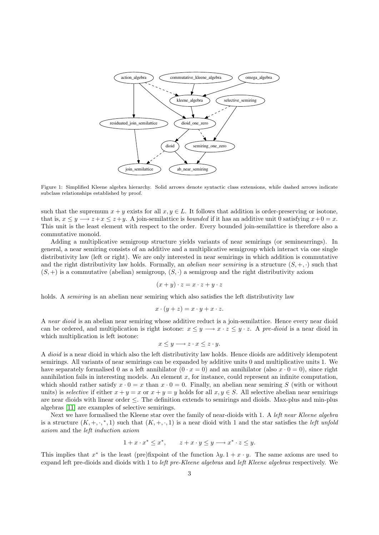

<span id="page-2-0"></span>Figure 1: Simplified Kleene algebra hierarchy. Solid arrows denote syntactic class extensions, while dashed arrows indicate subclass relationships established by proof.

such that the supremum  $x + y$  exists for all  $x, y \in L$ . It follows that addition is order-preserving or isotone, that is,  $x \leq y \longrightarrow z+x \leq z+y$ . A join-semilattice is *bounded* if it has an additive unit 0 satisfying  $x+0=x$ . This unit is the least element with respect to the order. Every bounded join-semilattice is therefore also a commutative monoid.

Adding a multiplicative semigroup structure yields variants of near semirings (or seminearrings). In general, a near semiring consists of an additive and a multiplicative semigroup which interact via one single distributivity law (left or right). We are only interested in near semirings in which addition is commutative and the right distributivity law holds. Formally, an *abelian near semiring* is a structure  $(S, +, \cdot)$  such that  $(S, +)$  is a commutative (abelian) semigroup,  $(S, \cdot)$  a semigroup and the right distributivity axiom

$$
(x+y)\cdot z = x\cdot z + y\cdot z
$$

holds. A *semiring* is an abelian near semiring which also satisfies the left distributivity law

$$
x \cdot (y + z) = x \cdot y + x \cdot z.
$$

A near dioid is an abelian near semiring whose additive reduct is a join-semilattice. Hence every near dioid can be ordered, and multiplication is right isotone:  $x \leq y \rightarrow x \cdot z \leq y \cdot z$ . A pre-dioid is a near dioid in which multiplication is left isotone:

$$
x \le y \longrightarrow z \cdot x \le z \cdot y.
$$

A dioid is a near dioid in which also the left distributivity law holds. Hence dioids are additively idempotent semirings. All variants of near semirings can be expanded by additive units 0 and multiplicative units 1. We have separately formalised 0 as a left annihilator  $(0 \cdot x = 0)$  and an annihilator (also  $x \cdot 0 = 0$ ), since right annihilation fails in interesting models. An element  $x$ , for instance, could represent an infinite computation, which should rather satisfy  $x \cdot 0 = x$  than  $x \cdot 0 = 0$ . Finally, an abelian near semiring S (with or without units) is selective if either  $x + y = x$  or  $x + y = y$  holds for all  $x, y \in S$ . All selective abelian near semirings are near dioids with linear order ≤. The definition extends to semirings and dioids. Max-plus and min-plus algebras [\[11\]](#page-19-10) are examples of selective semirings.

Next we have formalised the Kleene star over the family of near-dioids with 1. A *left near Kleene algebra* is a structure  $(K, +, \cdot, *, 1)$  such that  $(K, +, \cdot, 1)$  is a near dioid with 1 and the star satisfies the *left unfold* axiom and the left induction axiom

$$
1 + x \cdot x^* \le x^*, \qquad z + x \cdot y \le y \longrightarrow x^* \cdot z \le y.
$$

This implies that  $x^*$  is the least (pre)fixpoint of the function  $\lambda y$ .  $1 + x \cdot y$ . The same axioms are used to expand left pre-dioids and dioids with 1 to left pre-Kleene algebras and left Kleene algebras respectively. We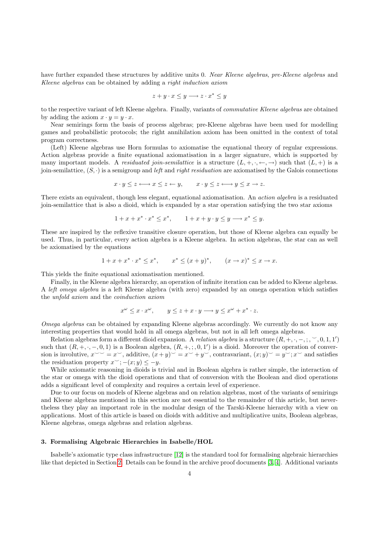have further expanded these structures by additive units 0. Near Kleene algebras, pre-Kleene algebras and Kleene algebras can be obtained by adding a *right induction axiom* 

$$
z + y \cdot x \leq y \longrightarrow z \cdot x^* \leq y
$$

to the respective variant of left Kleene algebra. Finally, variants of commutative Kleene algebras are obtained by adding the axiom  $x \cdot y = y \cdot x$ .

Near semirings form the basis of process algebras; pre-Kleene algebras have been used for modelling games and probabilistic protocols; the right annihilation axiom has been omitted in the context of total program correctness.

(Left) Kleene algebras use Horn formulas to axiomatise the equational theory of regular expressions. Action algebras provide a finite equational axiomatisation in a larger signature, which is supported by many important models. A residuated join-semilattice is a structure  $(L, +, \cdot, \leftarrow, \rightarrow)$  such that  $(L, +)$  is a join-semilattice,  $(S, \cdot)$  is a semigroup and *left* and *right residuation* are axiomatised by the Galois connections

 $x \cdot y \leq z \longleftrightarrow x \leq z \leftarrow y, \quad x \cdot y \leq z \longleftrightarrow y \leq x \rightarrow z.$ 

There exists an equivalent, though less elegant, equational axiomatisation. An action algebra is a residuated join-semilattice that is also a dioid, which is expanded by a star operation satisfying the two star axioms

$$
1 + x + x^* \cdot x^* \le x^*, \qquad 1 + x + y \cdot y \le y \longrightarrow x^* \le y.
$$

These are inspired by the reflexive transitive closure operation, but those of Kleene algebra can equally be used. Thus, in particular, every action algebra is a Kleene algebra. In action algebras, the star can as well be axiomatised by the equations

$$
1 + x + x^* \cdot x^* \le x^*
$$
,  $x^* \le (x + y)^*$ ,  $(x \to x)^* \le x \to x$ .

This yields the finite equational axiomatisation mentioned.

Finally, in the Kleene algebra hierarchy, an operation of infinite iteration can be added to Kleene algebras. A left omega algebra is a left Kleene algebra (with zero) expanded by an omega operation which satisfies the unfold axiom and the coinduction axiom

$$
x^{\omega} \leq x \cdot x^{\omega}, \qquad y \leq z + x \cdot y \longrightarrow y \leq x^{\omega} + x^* \cdot z.
$$

Omega algebras can be obtained by expanding Kleene algebras accordingly. We currently do not know any interesting properties that would hold in all omega algebras, but not in all left omega algebras.

Relation algebras form a different dioid expansion. A relation algebra is a structure  $(R, +, \cdot, -, ;, \cdot^-, 0, 1, 1)$ such that  $(R, +, \cdot, -, 0, 1)$  is a Boolean algebra,  $(R, +, \cdot, 0, 1')$  is a dioid. Moreover the operation of conversion is involutive,  $x^{\sim\sim} = x^{\sim}$ , additive,  $(x + y)^{\sim} = x^{\sim} + y^{\sim}$ , contravariant,  $(x; y)^{\sim} = y^{\sim}; x^{\sim}$  and satisfies the residuation property  $x^{\smile}$ ; −(x; y)  $\lt -y$ .

While axiomatic reasoning in dioids is trivial and in Boolean algebra is rather simple, the interaction of the star or omega with the dioid operations and that of conversion with the Boolean and diod operations adds a significant level of complexity and requires a certain level of experience.

Due to our focus on models of Kleene algebras and on relation algebras, most of the variants of semirings and Kleene algebras mentioned in this section are not essential to the remainder of this article, but nevertheless they play an important role in the modular design of the Tarski-Kleene hierarchy with a view on applications. Most of this article is based on dioids with additive and multiplicative units, Boolean algebras, Kleene algebras, omega algebras and relation algebras.

### 3. Formalising Algebraic Hierarchies in Isabelle/HOL

Isabelle's axiomatic type class infrastructure [\[12\]](#page-19-11) is the standard tool for formalising algebraic hierarchies like that depicted in Section [2.](#page-1-0) Details can be found in the archive proof documents [\[3,](#page-19-2) [4\]](#page-19-3). Additional variants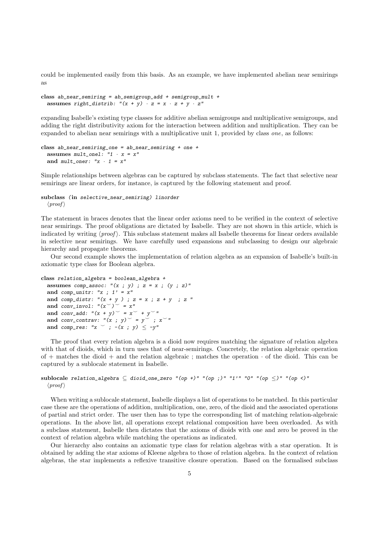could be implemented easily from this basis. As an example, we have implemented abelian near semirings as

```
class ab_near_semiring = ab_semigroup_add + semigroup_mult +
  assumes right_distrib: ''(x + y) \cdot z = x \cdot z + y \cdot z''
```
expanding Isabelle's existing type classes for additive abelian semigroups and multiplicative semigroups, and adding the right distributivity axiom for the interaction between addition and multiplication. They can be expanded to abelian near semirings with a multiplicative unit 1, provided by class one, as follows:

```
class ab_near_semiring_one = ab_near_semiring + one +
  assumes mult\_onel: "1 \cdot x = x"and mult\_oner: "x \cdot 1 = x"
```
Simple relationships between algebras can be captured by subclass statements. The fact that selective near semirings are linear orders, for instance, is captured by the following statement and proof.

# subclass (in selective\_near\_semiring) linorder  $\langle proof \rangle$

The statement in braces denotes that the linear order axioms need to be verified in the context of selective near semirings. The proof obligations are dictated by Isabelle. They are not shown in this article, which is indicated by writing  $\langle proof \rangle$ . This subclass statement makes all Isabelle theorems for linear orders available in selective near semirings. We have carefully used expansions and subclassing to design our algebraic hierarchy and propagate theorems.

Our second example shows the implementation of relation algebra as an expansion of Isabelle's built-in axiomatic type class for Boolean algebra.

```
class relation_algebra = boolean_algebra +
  assumes \text{comp\_assoc: }''(x ; y); z = x; (y ; z)''and comp\_unitr: "x ; 1' = x"and comp_distr: "(x + y); z = x; z + y; z "
  and conv_invol: ''(x^{\smile})^{\smile} = x''and conv_add: ''(x + y) = x + y"
  and conv_contrav: "(x ; y) = y ; x "
  and comp_res: "x \check{ } ; -(x ; y) \le -y''
```
The proof that every relation algebra is a dioid now requires matching the signature of relation algebra with that of dioids, which in turn uses that of near-semirings. Concretely, the relation algebraic operation of  $+$  matches the dioid  $+$  and the relation algebraic; matches the operation  $\cdot$  of the dioid. This can be captured by a sublocale statement in Isabelle.

```
sublocale relation_algebra \subseteq dioid_one_zero "(op +)" "(op ;)" "1'" "0" "(op \le)" "(op <)"
  \langle proof \rangle
```
When writing a sublocale statement, Isabelle displays a list of operations to be matched. In this particular case these are the operations of addition, multiplication, one, zero, of the dioid and the associated operations of partial and strict order. The user then has to type the corresponding list of matching relation-algebraic operations. In the above list, all operations except relational composition have been overloaded. As with a subclass statement, Isabelle then dictates that the axioms of dioids with one and zero be proved in the context of relation algebra while matching the operations as indicated.

Our hierarchy also contains an axiomatic type class for relation algebras with a star operation. It is obtained by adding the star axioms of Kleene algebra to those of relation algebra. In the context of relation algebras, the star implements a reflexive transitive closure operation. Based on the formalised subclass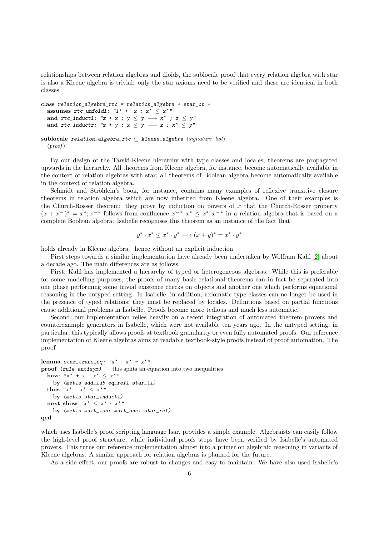relationships between relation algebras and dioids, the sublocale proof that every relation algebra with star is also a Kleene algebra is trivial: only the star axioms need to be verified and these are identical in both classes.

class relation\_algebra\_rtc = relation\_algebra + star\_op + assumes rtc\_unfoldl: "1' + x;  $x^* \leq x^{*}$ " and rtc\_inductl: "z + x ;  $y \le y \longrightarrow x^*$  ;  $z \le y$ " and rtc\_inductr: "z + y ;  $x \le y \longrightarrow z$  ;  $x^* \le y$ "

```
sublocale relation_algebra_rtc \subseteq kleene_algebra \langle signature \; list \rangle\langle proof \rangle
```
By our design of the Tarski-Kleene hierarchy with type classes and locales, theorems are propagated upwards in the hierarchy. All theorems from Kleene algebra, for instance, become automatically available in the context of relation algebras with star; all theorems of Boolean algebra become automatically available in the context of relation algebra.

Schmidt and Ströhlein's book, for instance, contains many examples of reflexive transitive closure theorems in relation algebra which are now inherited from Kleene algebra. One of their examples is the Church-Rosser theorem: they prove by induction on powers of  $x$  that the Church-Rosser property  $(x + x^{\smile})^* = x^*; x^{\smile*}$  follows from confluence  $x^{\smile*}$ ;  $x^* \leq x^*; x^{\smile*}$  in a relation algebra that is based on a complete Boolean algebra. Isabelle recognises this theorem as an instance of the fact that

$$
y^* \cdot x^* \le x^* \cdot y^* \longrightarrow (x+y)^* = x^* \cdot y^*
$$

holds already in Kleene algebra—hence without an explicit induction.

First steps towards a similar implementation have already been undertaken by Wolfram Kahl [\[2\]](#page-19-1) about a decade ago. The main differences are as follows.

First, Kahl has implemented a hierarchy of typed or heterogeneous algebras. While this is preferable for some modelling purposes, the proofs of many basic relational theorems can in fact be separated into one phase performing some trivial existence checks on objects and another one which performs equational reasoning in the untyped setting. In Isabelle, in addition, axiomatic type classes can no longer be used in the presence of typed relations; they must be replaced by locales. Definitions based on partial functions cause additional problems in Isabelle. Proofs become more tedious and much less automatic.

Second, our implementation relies heavily on a recent integration of automated theorem provers and counterexample generators in Isabelle, which were not available ten years ago. In the untyped setting, in particular, this typically allows proofs at textbook granularity or even fully automated proofs. Our reference implementation of Kleene algebras aims at readable textbook-style proofs instead of proof automation. The proof

```
lemma star_trans_eq: "x^* · x^* = x^*"
proof (rule antisym) — this splits an equation into two inequalities
  have "x^* + x \cdot x^* \leq x^{*}"
    by (metis add_lub eq_refl star_1l)
  thus "x^* · x^* \leq x^{*}"
    by (metis star_inductl)
  next show "x^* \leq x^* \cdot x^{*}"
    by (metis mult_isor mult_onel star_ref)
qed
```
which uses Isabelle's proof scripting language Isar, provides a simple example. Algebraists can easily follow the high-level proof structure, while individual proofs steps have been verified by Isabelle's automated provers. This turns our reference implementation almost into a primer on algebraic reasoning in variants of Kleene algebras. A similar approach for relation algebras is planned for the future.

As a side effect, our proofs are robust to changes and easy to maintain. We have also used Isabelle's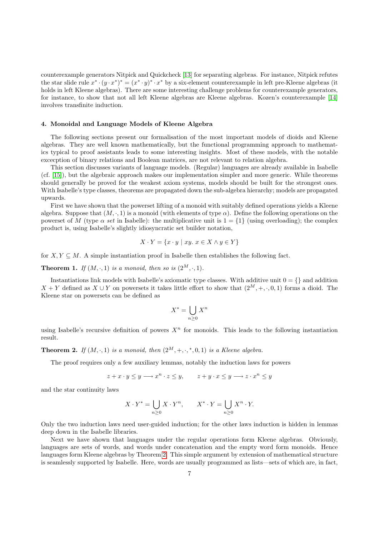counterexample generators Nitpick and Quickcheck [\[13\]](#page-19-12) for separating algebras. For instance, Nitpick refutes the star slide rule  $x^* \cdot (y \cdot x^*)^* = (x^* \cdot y)^* \cdot x^*$  by a six-element counterexample in left pre-Kleene algebras (it holds in left Kleene algebras). There are some interesting challenge problems for counterexample generators, for instance, to show that not all left Kleene algebras are Kleene algebras. Kozen's counterexample [\[14\]](#page-19-13) involves transfinite induction.

### 4. Monoidal and Language Models of Kleene Algebra

The following sections present our formalisation of the most important models of dioids and Kleene algebras. They are well known mathematically, but the functional programming approach to mathematics typical to proof assistants leads to some interesting insights. Most of these models, with the notable excecption of binary relations and Boolean matrices, are not relevant to relation algebra.

This section discusses variants of language models. (Regular) languages are already available in Isabelle (cf. [\[15\]](#page-19-14)), but the algebraic approach makes our implementation simpler and more generic. While theorems should generally be proved for the weakest axiom systems, models should be built for the strongest ones. With Isabelle's type classes, theorems are propagated down the sub-algebra hierarchy; models are propagated upwards.

First we have shown that the powerset lifting of a monoid with suitably defined operations yields a Kleene algebra. Suppose that  $(M, \cdot, 1)$  is a monoid (with elements of type  $\alpha$ ). Define the following operations on the powerset of M (type  $\alpha$  set in Isabelle): the multiplicative unit is  $1 = \{1\}$  (using overloading); the complex product is, using Isabelle's slightly idiosyncratic set builder notation,

$$
X \cdot Y = \{ x \cdot y \mid xy. \ x \in X \land y \in Y \}
$$

for  $X, Y \subseteq M$ . A simple instantiation proof in Isabelle then establishes the following fact.

<span id="page-6-1"></span>**Theorem 1.** If  $(M, \cdot, 1)$  is a monoid, then so is  $(2^M, \cdot, 1)$ .

Instantiations link models with Isabelle's axiomatic type classes. With additive unit  $0 = \{\}$  and addition  $X + Y$  defined as  $X \cup Y$  on powersets it takes little effort to show that  $(2^M, +, \cdot, 0, 1)$  forms a dioid. The Kleene star on powersets can be defined as

$$
X^* = \bigcup_{n \ge 0} X^n
$$

using Isabelle's recursive definition of powers  $X<sup>n</sup>$  for monoids. This leads to the following instantiation result.

<span id="page-6-0"></span>**Theorem 2.** If  $(M, \cdot, 1)$  is a monoid, then  $(2^M, +, \cdot, *, 0, 1)$  is a Kleene algebra.

The proof requires only a few auxiliary lemmas, notably the induction laws for powers

 $z + x \cdot y \leq y \longrightarrow x^n \cdot z \leq y, \qquad z + y \cdot x \leq y \longrightarrow z \cdot x^n \leq y$ 

and the star continuity laws

$$
X \cdot Y^* = \bigcup_{n \ge 0} X \cdot Y^n, \qquad X^* \cdot Y = \bigcup_{n \ge 0} X^n \cdot Y.
$$

Only the two induction laws need user-guided induction; for the other laws induction is hidden in lemmas deep down in the Isabelle libraries.

Next we have shown that languages under the regular operations form Kleene algebras. Obviously, languages are sets of words, and words under concatenation and the empty word form monoids. Hence languages form Kleene algebras by Theorem [2.](#page-6-0) This simple argument by extension of mathematical structure is seamlessly supported by Isabelle. Here, words are usually programmed as lists—sets of which are, in fact,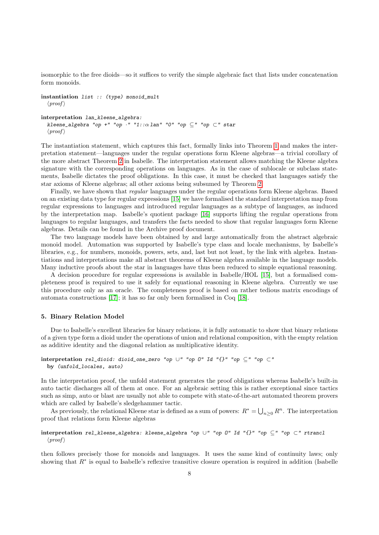isomorphic to the free dioids—so it suffices to verify the simple algebraic fact that lists under concatenation form monoids.

```
instantiation list :: (type) monoid_mult
  \langle proof \rangleinterpretation lan_kleene_algebra:
  kleene_algebra "op +" "op ·" "1::\alpha lan" "0" "op \subseteq" "op \subset" star
  \langle proof \rangle
```
The instantiation statement, which captures this fact, formally links into Theorem [1](#page-6-1) and makes the interpretation statement—languages under the regular operations form Kleene algebras—a trivial corollary of the more abstract Theorem [2](#page-6-0) in Isabelle. The interpretation statement allows matching the Kleene algebra signature with the corresponding operations on languages. As in the case of sublocale or subclass statements, Isabelle dictates the proof obligations. In this case, it must be checked that languages satisfy the star axioms of Kleene algebras; all other axioms being subsumed by Theorem [2.](#page-6-0)

Finally, we have shown that *regular* languages under the regular operations form Kleene algebras. Based on an existing data type for regular expressions [\[15\]](#page-19-14) we have formalised the standard interpretation map from regular expressions to languages and introduced regular languages as a subtype of languages, as induced by the interpretation map. Isabelle's quotient package [\[16\]](#page-19-15) supports lifting the regular operations from languages to regular languages, and transfers the facts needed to show that regular languages form Kleene algebras. Details can be found in the Archive proof document.

The two language models have been obtained by and large automatically from the abstract algebraic monoid model. Automation was supported by Isabelle's type class and locale mechanisms, by Isabelle's libraries, e.g., for numbers, monoids, powers, sets, and, last but not least, by the link with algebra. Instantiations and interpretations make all abstract theorems of Kleene algebra available in the language models. Many inductive proofs about the star in languages have thus been reduced to simple equational reasoning.

A decision procedure for regular expressions is available in Isabelle/HOL [\[15\]](#page-19-14), but a formalised completeness proof is required to use it safely for equational reasoning in Kleene algebra. Currently we use this procedure only as an oracle. The completeness proof is based on rather tedious matrix encodings of automata constructions [\[17\]](#page-19-16); it has so far only been formalised in Coq [\[18\]](#page-19-17).

#### 5. Binary Relation Model

Due to Isabelle's excellent libraries for binary relations, it is fully automatic to show that binary relations of a given type form a dioid under the operations of union and relational composition, with the empty relation as additive identity and the diagonal relation as multiplicative identity.

```
interpretation rel_dioid: dioid_one_zero "op ∪" "op O" Id "{}" "op ⊆" "op ⊂"
  by (unfold_locales, auto)
```
In the interpretation proof, the unfold statement generates the proof obligations whereas Isabelle's built-in auto tactic discharges all of them at once. For an algebraic setting this is rather exceptional since tactics such as simp, auto or blast are usually not able to compete with state-of-the-art automated theorem provers which are called by Isabelle's sledgehammer tactic.

As previously, the relational Kleene star is defined as a sum of powers:  $R^* = \bigcup_{n\geq 0} R^n$ . The interpretation proof that relations form Kleene algebras

# interpretation rel\_kleene\_algebra: kleene\_algebra "op ∪" "op O" Id "{}" "op ⊆" "op ⊂" rtrancl  $\langle proof \rangle$

then follows precisely those for monoids and languages. It uses the same kind of continuity laws; only showing that  $R^*$  is equal to Isabelle's reflexive transitive closure operation is required in addition (Isabelle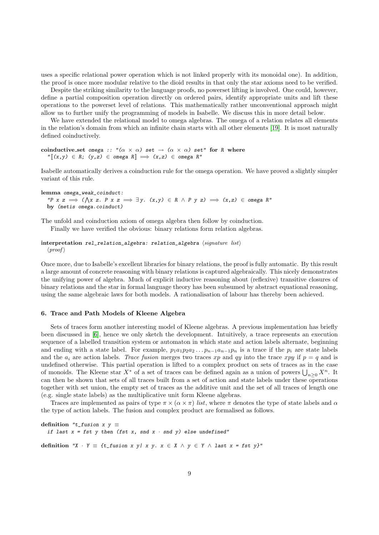uses a specific relational power operation which is not linked properly with its monoidal one). In addition, the proof is once more modular relative to the dioid results in that only the star axioms need to be verified.

Despite the striking similarity to the language proofs, no powerset lifting is involved. One could, however, define a partial composition operation directly on ordered pairs, identify appropriate units and lift these operations to the powerset level of relations. This mathematically rather unconventional approach might allow us to further unify the programming of models in Isabelle. We discuss this in more detail below.

We have extended the relational model to omega algebras. The omega of a relation relates all elements in the relation's domain from which an infinite chain starts with all other elements [\[19\]](#page-19-18). It is most naturally defined coinductively.

coinductive set omega :: " $(\alpha \times \alpha)$  set  $\rightarrow (\alpha \times \alpha)$  set" for R where  $"\[ (x,y) \in R; (y,z) \in \text{omega } R \] \implies (x,z) \in \text{omega } R"$ 

Isabelle automatically derives a coinduction rule for the omega operation. We have proved a slightly simpler variant of this rule.

```
lemma omega_weak_coinduct:
   "P x z \implies (\bigwedge x z. P x z \implies \exists y. (x,y) \in R \land P y z) \implies (x,z) \in \text{omega } R"
  by (metis omega.coinduct)
```
The unfold and coinduction axiom of omega algebra then follow by coinduction.

Finally we have verified the obvious: binary relations form relation algebras.

```
interpretation rel_relation_algebra: relation_algebra \langle signature \; list \rangle\langle proof \rangle
```
Once more, due to Isabelle's excellent libraries for binary relations, the proof is fully automatic. By this result a large amount of concrete reasoning with binary relations is captured algebraically. This nicely demonstrates the unifying power of algebra. Much of explicit inductive reasoning about (reflexive) transitive closures of binary relations and the star in formal language theory has been subsumed by abstract equational reasoning, using the same algebraic laws for both models. A rationalisation of labour has thereby been achieved.

#### 6. Trace and Path Models of Kleene Algebra

Sets of traces form another interesting model of Kleene algebras. A previous implementation has briefly been discussed in [\[6\]](#page-19-5), hence we only sketch the development. Intuitively, a trace represents an execution sequence of a labelled transition system or automaton in which state and action labels alternate, beginning and ending with a state label. For example,  $p_1a_1p_2a_2 \ldots p_{n-1}a_{n-1}p_n$  is a trace if the  $p_i$  are state labels and the  $a_i$  are action labels. Trace fusion merges two traces xp and qy into the trace xpy if  $p = q$  and is undefined otherwise. This partial operation is lifted to a complex product on sets of traces as in the case of monoids. The Kleene star  $X^*$  of a set of traces can be defined again as a union of powers  $\bigcup_{n\geq 0} X^n$ . It can then be shown that sets of all traces built from a set of action and state labels under these operations together with set union, the empty set of traces as the additive unit and the set of all traces of length one (e.g. single state labels) as the multiplicative unit form Kleene algebras.

Traces are implemented as pairs of type  $\pi \times (\alpha \times \pi)$  list, where  $\pi$  denotes the type of state labels and  $\alpha$ the type of action labels. The fusion and complex product are formalised as follows.

definition "t\_fusion x  $y \equiv$ if last  $x = fst$  y then (fst x, snd  $x \cdot s$ nd y) else undefined" definition "X · Y  $\equiv$  {t\_fusion x y| x y. x  $\in$  X  $\wedge$  y  $\in$  Y  $\wedge$  last x = fst y}"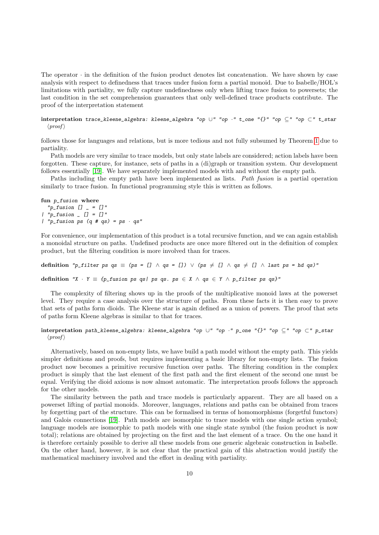The operator  $\cdot$  in the definition of the fusion product denotes list concatenation. We have shown by case analysis with respect to definedness that traces under fusion form a partial monoid. Due to Isabelle/HOL's limitations with partiality, we fully capture undefinedness only when lifting trace fusion to powersets; the last condition in the set comprehension guarantees that only well-defined trace products contribute. The proof of the interpretation statement

```
interpretation trace_kleene_algebra: kleene_algebra "op ∪" "op ·" t_one "{}" "op ⊆" "op ⊂" t_star
  \langle proof \rangle
```
follows those for languages and relations, but is more tedious and not fully subsumed by Theorem [1](#page-6-1) due to partiality.

Path models are very similar to trace models, but only state labels are considered; action labels have been forgotten. These capture, for instance, sets of paths in a (di)graph or transition system. Our development follows essentially [\[19\]](#page-19-18). We have separately implemented models with and without the empty path.

Paths including the empty path have been implemented as lists. Path fusion is a partial operation similarly to trace fusion. In functional programming style this is written as follows.

```
fun p_fusion where
  "p\_fusion [] = []"\mid "p_fusion _ [] = []"
| "p_fusion ps (q \# qs) = ps \cdot qs"
```
For convenience, our implementation of this product is a total recursive function, and we can again establish a monoidal structure on paths. Undefined products are once more filtered out in the definition of complex product, but the filtering condition is more involved than for traces.

definition "p\_filter ps qs = (ps = []  $\land$  qs = [])  $\lor$  (ps  $\neq$  []  $\land$  qs  $\neq$  []  $\land$  last ps = hd qs)" definition "X · Y  $\equiv$  {p\_fusion ps qs| ps qs. ps  $\in$  X  $\wedge$  qs  $\in$  Y  $\wedge$  p\_filter ps qs}"

The complexity of filtering shows up in the proofs of the multiplicative monoid laws at the powerset level. They require a case analysis over the structure of paths. From these facts it is then easy to prove that sets of paths form dioids. The Kleene star is again defined as a union of powers. The proof that sets of paths form Kleene algebras is similar to that for traces.

# interpretation path\_kleene\_algebra: kleene\_algebra "op ∪" "op ·" p\_one "{}" "op ⊆" "op ⊂" p\_star  $\langle proof \rangle$

Alternatively, based on non-empty lists, we have build a path model without the empty path. This yields simpler definitions and proofs, but requires implementing a basic library for non-empty lists. The fusion product now becomes a primitive recursive function over paths. The filtering condition in the complex product is simply that the last element of the first path and the first element of the second one must be equal. Verifying the dioid axioms is now almost automatic. The interpretation proofs follows the approach for the other models.

The similarity between the path and trace models is particularly apparent. They are all based on a powerset lifting of partial monoids. Moreover, languages, relations and paths can be obtained from traces by forgetting part of the structure. This can be formalised in terms of homomorphisms (forgetful functors) and Galois connections [\[19\]](#page-19-18). Path models are isomorphic to trace models with one single action symbol; language models are isomorphic to path models with one single state symbol (the fusion product is now total); relations are obtained by projecting on the first and the last element of a trace. On the one hand it is therefore certainly possible to derive all these models from one generic algebraic construction in Isabelle. On the other hand, however, it is not clear that the practical gain of this abstraction would justify the mathematical machinery involved and the effort in dealing with partiality.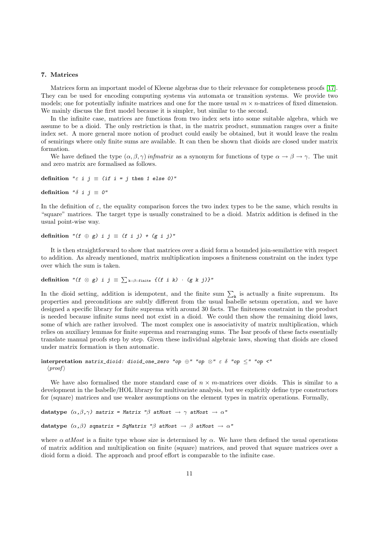### 7. Matrices

Matrices form an important model of Kleene algebras due to their relevance for completeness proofs [\[17\]](#page-19-16). They can be used for encoding computing systems via automata or transition systems. We provide two models; one for potentially infinite matrices and one for the more usual  $m \times n$ -matrices of fixed dimension. We mainly discuss the first model because it is simpler, but similar to the second.

In the infinite case, matrices are functions from two index sets into some suitable algebra, which we assume to be a dioid. The only restriction is that, in the matrix product, summation ranges over a finite index set. A more general more notion of product could easily be obtained, but it would leave the realm of semirings where only finite sums are available. It can then be shown that dioids are closed under matrix formation.

We have defined the type  $(\alpha, \beta, \gamma)$  infmatrix as a synonym for functions of type  $\alpha \to \beta \to \gamma$ . The unit and zero matrix are formalised as follows.

definition "ε i j  $\equiv$  (if i = j then 1 else 0)"

definition " $\delta$  i j  $\equiv$  0"

In the definition of  $\varepsilon$ , the equality comparison forces the two index types to be the same, which results in "square" matrices. The target type is usually constrained to be a dioid. Matrix addition is defined in the usual point-wise way.

definition "(f  $\oplus$  g) i j  $\equiv$  (f i j) + (g i j)"

It is then straightforward to show that matrices over a dioid form a bounded join-semilattice with respect to addition. As already mentioned, matrix multiplication imposes a finiteness constraint on the index type over which the sum is taken.

definition "
$$
(f \otimes g)
$$
 i  $j \equiv \sum_{k::\beta::finite}$  { $(f i k) \cdot (g k j)$ }"

In the dioid setting, addition is idempotent, and the finite sum  $\sum_{\mathbf{k}}$  is actually a finite supremum. Its properties and preconditions are subtly different from the usual Isabelle setsum operation, and we have designed a specific library for finite suprema with around 30 facts. The finiteness constraint in the product is needed because infinite sums need not exist in a dioid. We could then show the remaining dioid laws, some of which are rather involved. The most complex one is associativity of matrix multiplication, which relies on auxiliary lemmas for finite suprema and rearranging sums. The Isar proofs of these facts essentially translate manual proofs step by step. Given these individual algebraic laws, showing that dioids are closed under matrix formation is then automatic.

interpretation matrix\_dioid: dioid\_one\_zero "op  $\oplus$ " "op  $\otimes$ "  $\varepsilon$  δ "op  $\leq$ " "op <"  $\langle proof \rangle$ 

We have also formalised the more standard case of  $n \times m$ -matrices over dioids. This is similar to a development in the Isabelle/HOL library for multivariate analysis, but we explicitly define type constructors for (square) matrices and use weaker assumptions on the element types in matrix operations. Formally,

```
datatype (\alpha, \beta, \gamma) matrix = Matrix "\beta at Most \rightarrow \gamma at Most \rightarrow \alpha"
```

```
datatype (\alpha, \beta) sqmatrix = SqMatrix "\beta atMost \rightarrow \beta atMost \rightarrow \alpha"
```
where  $\alpha$  at Most is a finite type whose size is determined by  $\alpha$ . We have then defined the usual operations of matrix addition and multiplication on finite (square) matrices, and proved that square matrices over a dioid form a dioid. The approach and proof effort is comparable to the infinite case.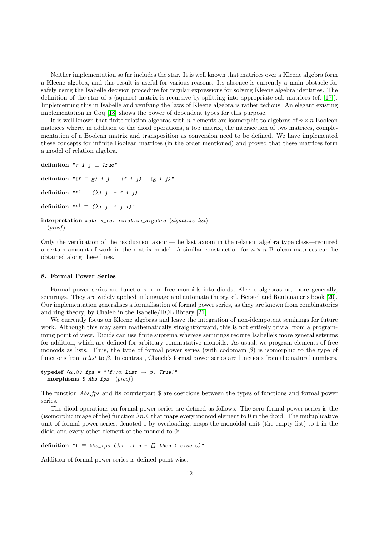Neither implementation so far includes the star. It is well known that matrices over a Kleene algebra form a Kleene algebra, and this result is useful for various reasons. Its absence is currently a main obstacle for safely using the Isabelle decision procedure for regular expressions for solving Kleene algebra identities. The definition of the star of a (square) matrix is recursive by splitting into appropriate sub-matrices (cf. [\[17\]](#page-19-16)). Implementing this in Isabelle and verifying the laws of Kleene algebra is rather tedious. An elegant existing implementation in Coq [\[18\]](#page-19-17) shows the power of dependent types for this purpose.

It is well known that finite relation algebras with n elements are isomorphic to algebras of  $n \times n$  Boolean matrices where, in addition to the dioid operations, a top matrix, the intersection of two matrices, complementation of a Boolean matrix and transposition as conversion need to be defined. We have implemented these concepts for infinite Boolean matrices (in the order mentioned) and proved that these matrices form a model of relation algebra.

definition " $\tau$  i j  $\equiv$  True" definition " $(f \cap g)$  i  $j \equiv (f i j) \cdot (g i j)$ " definition " $f^c \equiv (\lambda i \ j. - f i j)$ " definition " $f^{\dagger}$   $\equiv$  ( $\lambda i$  j. f j i)" interpretation matrix\_ra: relation\_algebra  $\langle signature \; list \rangle$  $\langle proof \rangle$ 

Only the verification of the residuation axiom—the last axiom in the relation algebra type class—required a certain amount of work in the matrix model. A similar construction for  $n \times n$  Boolean matrices can be obtained along these lines.

#### 8. Formal Power Series

Formal power series are functions from free monoids into dioids, Kleene algebras or, more generally, semirings. They are widely applied in language and automata theory, cf. Berstel and Reutenauer's book [\[20\]](#page-19-19). Our implementation generalises a formalisation of formal power series, as they are known from combinatorics and ring theory, by Chaieb in the Isabelle/HOL library [\[21\]](#page-19-20).

We currently focus on Kleene algebras and leave the integration of non-idempotent semirings for future work. Although this may seem mathematically straightforward, this is not entirely trivial from a programming point of view. Dioids can use finite suprema whereas semirings require Isabelle's more general setsums for addition, which are defined for arbitrary commutative monoids. As usual, we program elements of free monoids as lists. Thus, the type of formal power series (with codomain  $\beta$ ) is isomorphic to the type of functions from  $\alpha$  list to  $\beta$ . In contrast, Chaieb's formal power series are functions from the natural numbers.

```
typedef (\alpha, \beta) fps = "{f::\alpha list \rightarrow \beta. True}"
   morphisms $ Abs_fps \ \langle proof \rangle
```
The function Abs fps and its counterpart \$ are coercions between the types of functions and formal power series.

The dioid operations on formal power series are defined as follows. The zero formal power series is the (isomorphic image of the) function  $\lambda n$ . 0 that maps every monoid element to 0 in the dioid. The multiplicative unit of formal power series, denoted 1 by overloading, maps the monoidal unit (the empty list) to 1 in the dioid and every other element of the monoid to 0:

definition "1  $\equiv$  Abs\_fps ( $\lambda$ n. if n = [] then 1 else 0)"

Addition of formal power series is defined point-wise.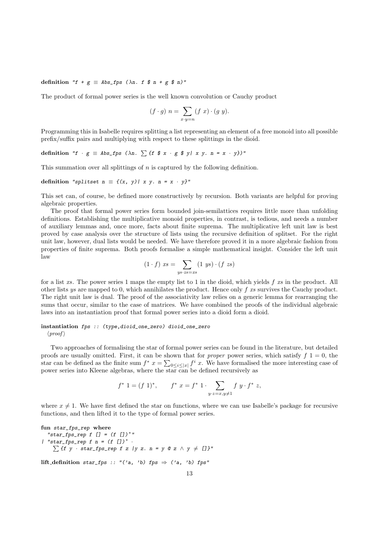definition "f +  $g \equiv Abs_fps$  ( $\lambda n$ . f  $\hat{s}$  n +  $g$   $\hat{s}$  n)"

The product of formal power series is the well known convolution or Cauchy product

$$
(f \cdot g) n = \sum_{x \cdot y = n} (f \ x) \cdot (g \ y).
$$

Programming this in Isabelle requires splitting a list representing an element of a free monoid into all possible prefix/suffix pairs and multiplying with respect to these splittings in the dioid.

# definition "f · g  $\equiv$  Abs\_fps ( $\lambda$ n.  $\sum$  {f \$ x · g \$ y| x y. n = x · y})"

This summation over all splittings of n is captured by the following definition.

definition "splitset 
$$
n \equiv \{(x, y) | x y. n = x \cdot y\}''
$$

This set can, of course, be defined more constructively by recursion. Both variants are helpful for proving algebraic properties.

The proof that formal power series form bounded join-semilattices requires little more than unfolding definitions. Establishing the multiplicative monoid properties, in contrast, is tedious, and needs a number of auxiliary lemmas and, once more, facts about finite suprema. The multiplicative left unit law is best proved by case analysis over the structure of lists using the recursive definition of splitset. For the right unit law, however, dual lists would be needed. We have therefore proved it in a more algebraic fashion from properties of finite suprema. Both proofs formalise a simple mathematical insight. Consider the left unit law

$$
(1 \cdot f) \; xs = \sum_{ys \cdot zs = xs} (1 \; ys) \cdot (f \; zs)
$$

for a list xs. The power series 1 maps the empty list to 1 in the dioid, which yields  $f$  xs in the product. All other lists ys are mapped to 0, which annihilates the product. Hence only f  $xs$  survives the Cauchy product. The right unit law is dual. The proof of the associativity law relies on a generic lemma for rearranging the sums that occur, similar to the case of matrices. We have combined the proofs of the individual algebraic laws into an instantiation proof that formal power series into a dioid form a dioid.

# instantiation fps :: (type,dioid\_one\_zero) dioid\_one\_zero

 $\langle proof \rangle$ 

Two approaches of formalising the star of formal power series can be found in the literature, but detailed proofs are usually omitted. First, it can be shown that for *proper* power series, which satisfy  $f \ 1 = 0$ , the star can be defined as the finite sum  $f^*$   $x = \sum_{0 \le i \le |x|} f^i x$ . We have formalised the more interesting case of power series into Kleene algebras, where the star can be defined recursively as

$$
f^* 1 = (f 1)^*,
$$
  $f^* x = f^* 1 \cdot \sum_{y \cdot z = x, y \neq 1} f y \cdot f^* z,$ 

where  $x \neq 1$ . We have first defined the star on functions, where we can use Isabelle's package for recursive functions, and then lifted it to the type of formal power series.

```
fun star_fps_rep where
   "star_fps_rep f [] = (f [])^*"
| "star_fps_rep f n = (f [])^*.
      {\tt tar\_fps\_rep} f n = (f [])* \sum~\{f~y~\cdot~{\tt star\_fps\_rep}~f~z~|~y~z. n = y @ z \wedge~y~\neq~[J}\}''
```
lift\_definition star\_fps :: "('a, 'b) fps  $\Rightarrow$  ('a, 'b) fps"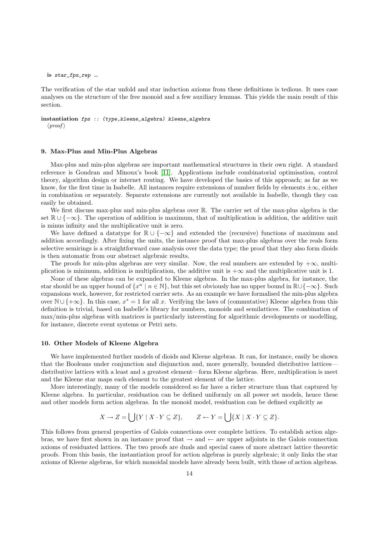```
is star_fps_rep ..
```
The verification of the star unfold and star induction axioms from these definitions is tedious. It uses case analyses on the structure of the free monoid and a few auxiliary lemmas. This yields the main result of this section.

instantiation fps :: (type,kleene\_algebra) kleene\_algebra  $\langle proof \rangle$ 

### 9. Max-Plus and Min-Plus Algebras

Max-plus and min-plus algebras are important mathematical structures in their own right. A standard reference is Gondran and Minoux's book [\[11\]](#page-19-10). Applications include combinatorial optimisation, control theory, algorithm design or internet routing. We have developed the basics of this approach; as far as we know, for the first time in Isabelle. All instances require extensions of number fields by elements  $\pm \infty$ , either in combination or separately. Separate extensions are currently not available in Isabelle, though they can easily be obtained.

We first discuss max-plus and min-plus algebras over  $\mathbb R$ . The carrier set of the max-plus algebra is the set  $\mathbb{R} \cup \{-\infty\}$ . The operation of addition is maximum, that of multiplication is addition, the additive unit is minus infinity and the multiplicative unit is zero.

We have defined a datatype for  $\mathbb{R} \cup \{-\infty\}$  and extended the (recursive) functions of maximum and addition accordingly. After fixing the units, the instance proof that max-plus algebras over the reals form selective semirings is a straightforward case analysis over the data type; the proof that they also form dioids is then automatic from our abstract algebraic results.

The proofs for min-plus algebras are very similar. Now, the real numbers are extended by  $+\infty$ , multiplication is minimum, addition is multiplication, the additive unit is  $+\infty$  and the multiplicative unit is 1.

None of these algebras can be expanded to Kleene algebras. In the max-plus algebra, for instance, the star should be an upper bound of  $\{x^n | n \in \mathbb{N}\}$ , but this set obviously has no upper bound in  $\mathbb{R} \cup \{-\infty\}$ . Such expansions work, however, for restricted carrier sets. As an example we have formalised the min-plus algebra over  $\mathbb{N} \cup \{+\infty\}$ . In this case,  $x^* = 1$  for all x. Verifying the laws of (commutative) Kleene algebra from this definition is trivial, based on Isabelle's library for numbers, monoids and semilattices. The combination of max/min-plus algebras with matrices is particularly interesting for algorithmic developments or modelling, for instance, discrete event systems or Petri nets.

# 10. Other Models of Kleene Algebra

We have implemented further models of dioids and Kleene algebras. It can, for instance, easily be shown that the Booleans under conjunction and disjunction and, more generally, bounded distributive lattices distributive lattices with a least and a greatest element—form Kleene algebras. Here, multiplication is meet and the Kleene star maps each element to the greatest element of the lattice.

More interestingly, many of the models considered so far have a richer structure than that captured by Kleene algebra. In particular, residuation can be defined uniformly on all power set models, hence these and other models form action algebras. In the monoid model, residuation can be defined explicitly as

$$
X \to Z = \bigcup \{ Y \mid X \cdot Y \subseteq Z \}, \qquad Z \leftarrow Y = \bigcup \{ X \mid X \cdot Y \subseteq Z \}.
$$

This follows from general properties of Galois connections over complete lattices. To establish action algebras, we have first shown in an instance proof that  $\rightarrow$  and  $\leftarrow$  are upper adjoints in the Galois connection axioms of residuated lattices. The two proofs are duals and special cases of more abstract lattice theoretic proofs. From this basis, the instantiation proof for action algebras is purely algebraic; it only links the star axioms of Kleene algebras, for which monoidal models have already been built, with those of action algebras.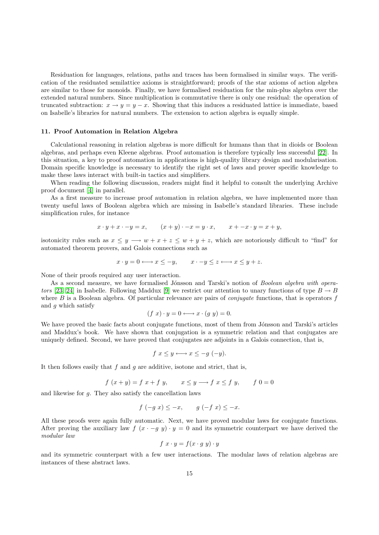Residuation for languages, relations, paths and traces has been formalised in similar ways. The verification of the residuated semilattice axioms is straightforward; proofs of the star axioms of action algebra are similar to those for monoids. Finally, we have formalised residuation for the min-plus algebra over the extended natural numbers. Since multiplication is commutative there is only one residual: the operation of truncated subtraction:  $x \to y = y - x$ . Showing that this induces a residuated lattice is immediate, based on Isabelle's libraries for natural numbers. The extension to action algebra is equally simple.

### 11. Proof Automation in Relation Algebra

Calculational reasoning in relation algebras is more difficult for humans than that in dioids or Boolean algebras, and perhaps even Kleene algebras. Proof automation is therefore typically less successful [\[22\]](#page-19-21). In this situation, a key to proof automation in applications is high-quality library design and modularisation. Domain specific knowledge is necessary to identify the right set of laws and prover specific knowledge to make these laws interact with built-in tactics and simplifiers.

When reading the following discussion, readers might find it helpful to consult the underlying Archive proof document [\[4\]](#page-19-3) in parallel.

As a first measure to increase proof automation in relation algebra, we have implemented more than twenty useful laws of Boolean algebra which are missing in Isabelle's standard libraries. These include simplification rules, for instance

$$
x \cdot y + x \cdot -y = x, \qquad (x+y) \cdot -x = y \cdot x, \qquad x + -x \cdot y = x + y,
$$

isotonicity rules such as  $x \leq y \longrightarrow w + x + z \leq w + y + z$ , which are notoriously difficult to "find" for automated theorem provers, and Galois connections such as

$$
x \cdot y = 0 \longleftrightarrow x \le -y, \qquad x \cdot -y \le z \longleftrightarrow x \le y + z.
$$

None of their proofs required any user interaction.

As a second measure, we have formalised Jónsson and Tarski's notion of Boolean algebra with opera-tors [\[23,](#page-19-22) [24\]](#page-19-23) in Isabelle. Following Maddux [\[9\]](#page-19-8) we restrict our attention to unary functions of type  $B \to B$ where  $B$  is a Boolean algebra. Of particular relevance are pairs of *conjugate* functions, that is operators  $f$ and  $g$  which satisfy

$$
(f x) \cdot y = 0 \longleftrightarrow x \cdot (g y) = 0.
$$

We have proved the basic facts about conjugate functions, most of them from Jónsson and Tarski's articles and Maddux's book. We have shown that conjugation is a symmetric relation and that conjugates are uniquely defined. Second, we have proved that conjugates are adjoints in a Galois connection, that is,

$$
f \ x \leq y \longleftrightarrow x \leq -g \ (-y).
$$

It then follows easily that  $f$  and  $g$  are additive, isotone and strict, that is,

$$
f(x+y) = f(x+f y, \quad x \leq y \longrightarrow f x \leq f y, \quad f = 0
$$

and likewise for g. They also satisfy the cancellation laws

$$
f(-g\ x) \le -x, \qquad g(-f\ x) \le -x.
$$

All these proofs were again fully automatic. Next, we have proved modular laws for conjugate functions. After proving the auxiliary law  $f(x - q y) \cdot y = 0$  and its symmetric counterpart we have derived the modular law

$$
f x \cdot y = f(x \cdot g y) \cdot y
$$

and its symmetric counterpart with a few user interactions. The modular laws of relation algebras are instances of these abstract laws.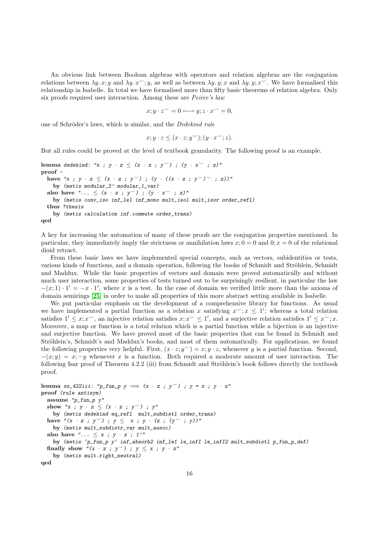An obvious link between Boolean algebras with operators and relation algebras are the conjugation relations between  $\lambda y. x; y$  and  $\lambda y. x^{\sim}$ ; y, as well as between  $\lambda y. y; x$  and  $\lambda y. y; x^{\sim}$ . We have formalised this relationship in Isabelle. In total we have formalised more than fifty basic theorems of relation algebra. Only six proofs required user interaction. Among these are Peirce's law

 $x; y \cdot z^{\smile} = 0 \longleftrightarrow y; z \cdot x^{\smile} = 0,$ 

one of Schröder's laws, which is similar, and the Dedekind rule

$$
x; y \cdot z \leq (x \cdot z; y^{-}); (y \cdot x^{-}; z).
$$

But all rules could be proved at the level of textbook granularity. The following proof is an example.

```
{\rm lemma\,\,}{\rm dedekind}\colon\, "x ; y \cdot z \leq (x \, \cdot z ; y \breve{\phantom{x}}) ; (y \cdot x \breve{\phantom{x}} ; z)"
proof -
   have "x ; y \cdot z \leq (x \cdot z ; y^{\vee}) ; (y \cdot ((x \cdot z ; y^{\vee})^{\vee} ; z))"
     by (metis modular_2' modular_1_var)
   also have "... \leq (x \cdot z ; y^{\sim}); (y \cdot x^{\sim} ; z)^{n}by (metis conv_iso inf_le1 inf_mono mult_isol mult_isor order_refl)
  thus ?thesis
     by (metis calculation inf.commute order_trans)
qed
```
A key for increasing the automation of many of these proofs are the conjugation properties mentioned. In particular, they immediately imply the strictness or annihilation laws  $x; 0 = 0$  and  $0; x = 0$  of the relational dioid retract.

From these basic laws we have implemented special concepts, such as vectors, subidentities or tests, various kinds of functions, and a domain operation, following the books of Schmidt and Ströhlein, Schmidt and Maddux. While the basic properties of vectors and domain were proved automatically and without much user interaction, some properties of tests turned out to be surprisingly resilient, in particular the law  $-(x; 1) \cdot 1' = -x \cdot 1'$ , where x is a test. In the case of domain we verified little more than the axioms of domain semirings [\[25\]](#page-19-24) in order to make all properties of this more abstract setting available in Isabelle.

We put particular emphasis on the development of a comprehensive library for functions. As usual we have implemented a partial function as a relation x satisfying  $x^{\sim}$ ;  $x \leq 1'$ ; whereas a total relation satisfies  $1' \leq x; x^{\sim}$ , an injective relation satisfies  $x; x^{\sim} \leq 1'$ , and a surjective relation satisfies  $1' \leq x^{\sim}$ ; x. Moreover, a map or function is a total relation which is a partial function while a bijection is an injective and surjective function. We have proved most of the basic properties that can be found in Schmidt and Ströhlein's, Schmidt's and Maddux's books, and most of them automatically. For applications, we found the following properties very helpful. First,  $(x \cdot z; y^{\smile}) = x; y \cdot z$ , whenever y is a partial function. Second,  $-(x; y) = x; -y$  whenever x is a function. Both required a moderate amount of user interaction. The following Isar proof of Theorem 4.2.2 (iii) from Schmidt and Ströhlein's book follows directly the textbook proof.

```
lemma ss_422iii: "p_fun_p y \implies (x \cdot z ; y^{\vee}); y = x ; y \cdot z"
proof (rule antisym)
  assume "p\_fun\_p y"show "x; y \cdot z \leq (x \cdot z ; y^{\smile}); y"
    by (metis dedekind eq_refl mult_subdistl order_trans)
  have "(x \cdot z ; y^{\vee}); y \leq x ; y \cdot (z ; (y^{\vee} ; y))"
    by (metis mult_subdistr_var mult_assoc)
  also have "\dots \leq x; y \cdot z; 1'"
    by (metis 'p_fun_p y' inf_absorb2 inf_le1 le_infI le_infI2 mult_subdistl p_fun_p_def)
  finally show "(x \cdot z ; y^{\sim}); y \leq x ; y \cdot z"
    by (metis mult.right_neutral)
qed
```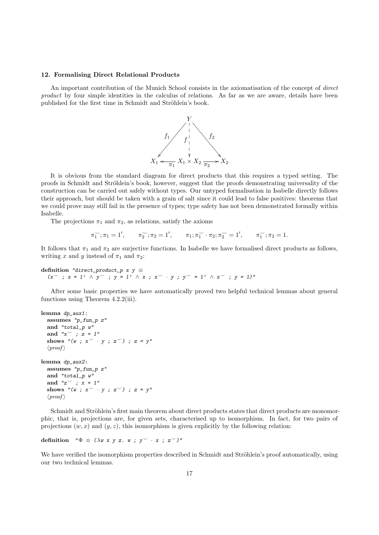### 12. Formalising Direct Relational Products

An important contribution of the Munich School consists in the axiomatisation of the concept of direct product by four simple identities in the calculus of relations. As far as we are aware, details have been published for the first time in Schmidt and Ströhlein's book.



It is obvious from the standard diagram for direct products that this requires a typed setting. The proofs in Schmidt and Ströhlein's book, however, suggest that the proofs demonstrating universality of the construction can be carried out safely without types. Our untyped formalisation in Isabelle directly follows their approach, but should be taken with a grain of salt since it could lead to false positives: theorems that we could prove may still fail in the presence of types; type safety has not been demonstrated formally within Isabelle.

The projections  $\pi_1$  and  $\pi_2$ , as relations, satisfy the axioms

$$
\pi_1^{\smile}; \pi_1 = 1', \qquad \pi_2^{\smile}; \pi_2 = 1', \qquad \pi_1; \pi_1^{\smile} \cdot \pi_2; \pi_2^{\smile} = 1', \qquad \pi_1^{\smile}; \pi_2 = 1.
$$

It follows that  $\pi_1$  and  $\pi_2$  are surjective functions. In Isabelle we have formalised direct products as follows, writing x and y instead of  $\pi_1$  and  $\pi_2$ :

definition "direct\_product\_p x  $y \equiv$  $(x^{\sim} ; x = 1' \wedge y^{\sim} ; y = 1' \wedge x ; x^{\sim} \cdot y ; y^{\sim} = 1' \wedge x^{\sim} ; y = 1)"$ 

After some basic properties we have automatically proved two helpful technical lemmas about general functions using Theorem 4.2.2(iii).

```
lemma dp_aux1:
  assumes "p\_fun\_p z"and "total_p w"
  and "x^\smile ; z = 1"shows "(w ; x^{\smile} \cdot y ; z^{\smile}) ; z = y''\langle proof \ranglelemma dp_aux2:
  assumes "p_fun_p z"
  and "total_p w"
  and "z ; x = 1"shows "(w ; x^{\smile} \cdot y ; z^{\smile}) ; z = y"\langle proof \rangle
```
Schmidt and Ströhlein's first main theorem about direct products states that direct products are monomorphic, that is, projections are, for given sets, characterised up to isomorphism. In fact, for two pairs of projections  $(w, x)$  and  $(y, z)$ , this isomorphism is given explicitly by the following relation:

definition  $\Psi \equiv (\lambda \vee x \vee z \cdot \vee y \vee x \cdot z \vee z)$ "

We have verified the isomorphism properties described in Schmidt and Ströhlein's proof automatically, using our two technical lemmas.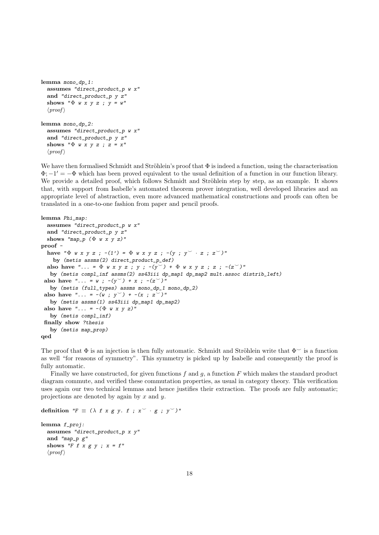```
lemma mono_dp_1:
  assumes "direct_product_p w x"
  and "direct_product_p y z"
  shows "\Phi w x y z ; y = w"
  \langle proof \ranglelemma mono_dp_2:
  assumes "direct_product_p w x"
  and "direct_product_p y z"
  shows "\Phi w x y z ; z = x"
  \langle proof \rangle
```
We have then formalised Schmidt and Ströhlein's proof that  $\Phi$  is indeed a function, using the characterisation  $\Phi$ ;  $-1' = -\Phi$  which has been proved equivalent to the usual definition of a function in our function library. We provide a detailed proof, which follows Schmidt and Ströhlein step by step, as an example. It shows that, with support from Isabelle's automated theorem prover integration, well developed libraries and an appropriate level of abstraction, even more advanced mathematical constructions and proofs can often be translated in a one-to-one fashion from paper and pencil proofs.

```
lemma Phi_map:
  assumes "direct_product_p w x"
  and "direct_product_p y z"
  shows "map_p (\Phi \le x \le z)'"
proof -
  have "\Phi w x y z ; -(1') = \Phi w x y z ; -(y; y^{\sim} \cdot z; z^{\sim})"
    by (metis assms(2) direct_product_p_def)
  also have "... = \Phi w x y z ; y ; -(y<sup>-</sup>) + \Phi w x y z ; z ; -(z<sup>-</sup>)"
   by (metis compl_inf assms(2) ss43iii dp_map1 dp_map2 mult.assoc distrib_left)
 also have "... = w; -(y^{\smile}) + x; -(z^{\smile})"
   by (metis (full_types) assms mono_dp_1 mono_dp_2)
 also have "... = -(w ; y^{\smile}) + -(x ; z^{\smile})"
   by (metis assms(1) ss43iii dp_map1 dp_map2)
 also have "... = -(\Phi \times x \times z)"
   by (metis compl_inf)
 finally show ?thesis
   by (metis map_prop)
qed
```
The proof that  $\Phi$  is an injection is then fully automatic. Schmidt and Ströhlein write that  $\Phi^{\sim}$  is a function as well "for reasons of symmetry". This symmetry is picked up by Isabelle and consequently the proof is fully automatic.

Finally we have constructed, for given functions  $f$  and  $g$ , a function  $F$  which makes the standard product diagram commute, and verified these commutation properties, as usual in category theory. This verification uses again our two technical lemmas and hence justifies their extraction. The proofs are fully automatic; projections are denoted by again by x and y.

```
definition "F \equiv (\lambda f \times g \times g \cdot f ; x^{\sim} \cdot g ; y^{\sim})"
```

```
lemma f_proj:
  assumes "direct_product_p x y"
  and "map_p g"
  shows "F f x g y; x = f''\langle proof \rangle
```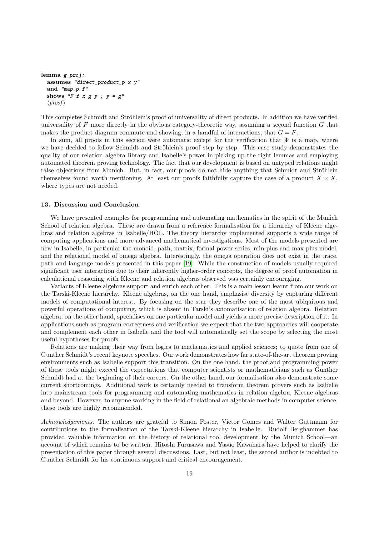```
lemma g_proj:
  assumes "direct_product_p x y"
  and "map_p f"
  shows "F f x g y; y = g''\langle proof \rangle
```
This completes Schmidt and Ströhlein's proof of universality of direct products. In addition we have verified universality of F more directly in the obvious category-theoretic way, assuming a second function  $G$  that makes the product diagram commute and showing, in a handful of interactions, that  $G = F$ .

In sum, all proofs in this section were automatic except for the verification that  $\Phi$  is a map, where we have decided to follow Schmidt and Ströhlein's proof step by step. This case study demonstrates the quality of our relation algebra library and Isabelle's power in picking up the right lemmas and employing automated theorem proving technology. The fact that our development is based on untyped relations might raise objections from Munich. But, in fact, our proofs do not hide anything that Schmidt and Ströhlein themselves found worth mentioning. At least our proofs faithfully capture the case of a product  $X \times X$ , where types are not needed.

# 13. Discussion and Conclusion

We have presented examples for programming and automating mathematics in the spirit of the Munich School of relation algebra. These are drawn from a reference formalisation for a hierarchy of Kleene algebras and relation algebras in Isabelle/HOL. The theory hierarchy implemented supports a wide range of computing applications and more advanced mathematical investigations. Most of the models presented are new in Isabelle, in particular the monoid, path, matrix, formal power series, min-plus and max-plus model, and the relational model of omega algebra. Interestingly, the omega operation does not exist in the trace, path and language models presented in this paper [\[19\]](#page-19-18). While the construction of models usually required significant user interaction due to their inherently higher-order concepts, the degree of proof automation in calculational reasoning with Kleene and relation algebras observed was certainly encouraging.

Variants of Kleene algebras support and enrich each other. This is a main lesson learnt from our work on the Tarski-Kleene hierarchy. Kleene algebras, on the one hand, emphasise diversity by capturing different models of computational interest. By focusing on the star they describe one of the most ubiquitous and powerful operations of computing, which is absent in Tarski's axiomatisation of relation algebra. Relation algebra, on the other hand, specialises on one particular model and yields a more precise description of it. In applications such as program correctness and verification we expect that the two approaches will cooperate and complement each other in Isabelle and the tool will automatically set the scope by selecting the most useful hypotheses for proofs.

Relations are making their way from logics to mathematics and applied sciences; to quote from one of Gunther Schmidt's recent keynote speeches. Our work demonstrates how far state-of-the-art theorem proving environments such as Isabelle support this transition. On the one hand, the proof and programming power of these tools might exceed the expectations that computer scientists or mathematicians such as Gunther Schmidt had at the beginning of their careers. On the other hand, our formalisation also demonstrate some current shortcomings. Additional work is certainly needed to transform theorem provers such as Isabelle into mainstream tools for programming and automating mathematics in relation algebra, Kleene algebras and beyond. However, to anyone working in the field of relational an algebraic methods in computer science, these tools are highly recommended.

Acknowledgements. The authors are grateful to Simon Foster, Victor Gomes and Walter Guttmann for contributions to the formalisation of the Tarski-Kleene hierarchy in Isabelle. Rudolf Berghammer has provided valuable information on the history of relational tool development by the Munich School—an account of which remains to be written. Hitoshi Furusawa and Yasuo Kawahara have helped to clarify the presentation of this paper through several discussions. Last, but not least, the second author is indebted to Gunther Schmidt for his continuous support and critical encouragement.